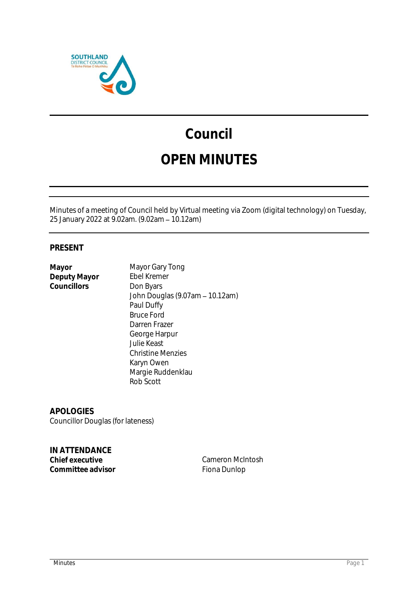

# **Council**

## **OPEN MINUTES**

Minutes of a meeting of Council held by Virtual meeting via Zoom (digital technology) on Tuesday, 25 January 2022 at 9.02am. (9.02am 10.12am)

### **PRESENT**

**Deputy Mayor** Councillors **Don Byars** 

**Mayor** Mayor Gary Tong<br>
Deputy Mayor Ebel Kremer John Douglas (9.07am - 10.12am) Paul Duffy Bruce Ford Darren Frazer George Harpur Julie Keast Christine Menzies Karyn Owen Margie Ruddenklau Rob Scott

**APOLOGIES** Councillor Douglas (for lateness)

**IN ATTENDANCE** Committee advisor **Fiona Dunlop** 

**Cameron McIntosh**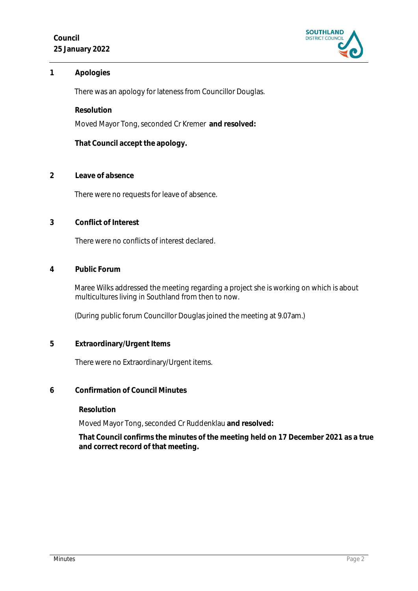

#### **1 Apologies**

There was an apology for lateness from Councillor Douglas.

**Resolution**

Moved Mayor Tong, seconded Cr Kremer **and resolved:**

**That Council accept the apology.**

**2 Leave of absence** 

There were no requests for leave of absence.

**3 Conflict of Interest**

There were no conflicts of interest declared.

**4 Public Forum**

Maree Wilks addressed the meeting regarding a project she is working on which is about multicultures living in Southland from then to now.

(During public forum Councillor Douglas joined the meeting at 9.07am.)

**5 Extraordinary/Urgent Items**

There were no Extraordinary/Urgent items.

**6 Confirmation of Council Minutes**

**Resolution**

Moved Mayor Tong, seconded Cr Ruddenklau **and resolved:**

**That Council confirms the minutes of the meeting held on 17 December 2021 as a true and correct record of that meeting.**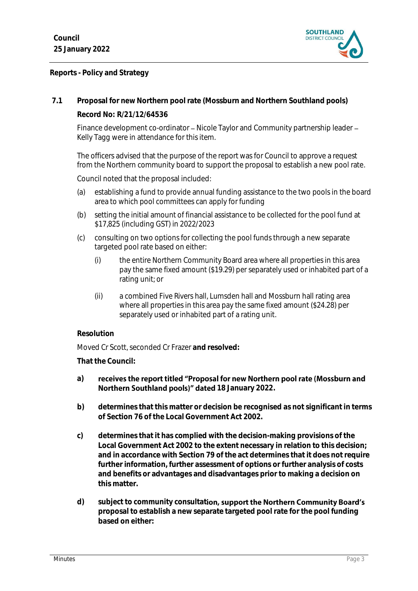

**Reports - Policy and Strategy**

**7.1 Proposal for new Northern pool rate (Mossburn and Northern Southland pools) Record No: R/21/12/64536**

Finance development co-ordinator – Nicole Taylor and Community partnership leader – Kelly Tagg were in attendance for this item.

The officers advised that the purpose of the report was for Council to approve a request from the Northern community board to support the proposal to establish a new pool rate.

Council noted that the proposal included:

- (a) establishing a fund to provide annual funding assistance to the two pools in the board area to which pool committees can apply for funding
- (b) setting the initial amount of financial assistance to be collected for the pool fund at \$17,825 (including GST) in 2022/2023
- (c) consulting on two options for collecting the pool funds through a new separate targeted pool rate based on either:
	- (i) the entire Northern Community Board area where all properties in this area pay the same fixed amount (\$19.29) per separately used or inhabited part of a rating unit; or
	- (ii) a combined Five Rivers hall, Lumsden hall and Mossburn hall rating area where all properties in this area pay the same fixed amount (\$24.28) per separately used or inhabited part of a rating unit.

#### **Resolution**

Moved Cr Scott, seconded Cr Frazer **and resolved:**

**That the Council:**

#### **a)** receives the report titled "Proposal for new Northern pool rate (Mossburn and **Northern Southland pools)" dated 18 January 2022.**

- **b) determines that this matter or decision be recognised as not significant in terms of Section 76 of the Local Government Act 2002.**
- **c) determines that it has complied with the decision-making provisions of the Local Government Act 2002 to the extent necessary in relation to this decision; and in accordance with Section 79 of the act determines that it does not require further information, further assessment of options or further analysis of costs and benefits or advantages and disadvantages prior to making a decision on this matter.**
- d) subject to community consultation, support the Northern Community Board's **proposal to establish a new separate targeted pool rate for the pool funding based on either:**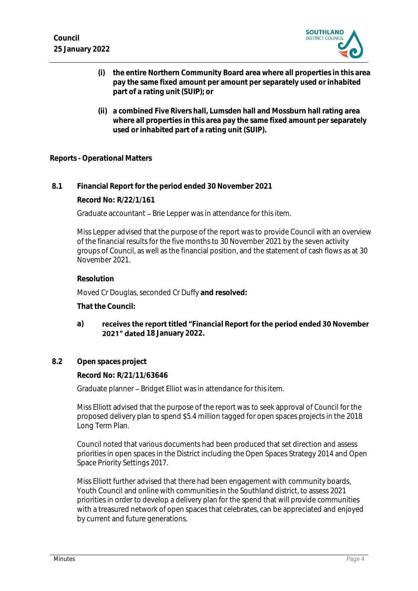

- **(i) the entire Northern Community Board area where all properties in this area pay the same fixed amount per amount per separately used or inhabited part of a rating unit (SUIP); or**
- **(ii) a combined Five Rivers hall, Lumsden hall and Mossburn hall rating area where all properties in this area pay the same fixed amount per separately used or inhabited part of a rating unit (SUIP).**

#### **Reports - Operational Matters**

**8.1 Financial Report for the period ended 30 November 2021**

**Record No: R/22/1/161**

Graduate accountant – Brie Lepper was in attendance for this item.

Miss Lepper advised that the purpose of the report was to provide Council with an overview of the financial results for the five months to 30 November 2021 by the seven activity groups of Council, as well as the financial position, and the statement of cash flows as at 30 November 2021.

#### **Resolution**

Moved Cr Douglas, seconded Cr Duffy **and resolved:**

**That the Council:**

- receives the report titled "Financial Report for the period ended 30 November **a) 2021" dated 18 January 2022.**
- **8.2 Open spaces project**

**Record No: R/21/11/63646**

Graduate planner - Bridget Elliot was in attendance for this item.

Miss Elliott advised that the purpose of the report was to seek approval of Council for the proposed delivery plan to spend \$5.4 million tagged for open spaces projects in the 2018 Long Term Plan.

Council noted that various documents had been produced that set direction and assess priorities in open spaces in the District including the Open Spaces Strategy 2014 and Open Space Priority Settings 2017.

Miss Elliott further advised that there had been engagement with community boards, Youth Council and online with communities in the Southland district, to assess 2021 priorities in order to develop a delivery plan for the spend that will provide communities with a treasured network of open spaces that celebrates, can be appreciated and enjoyed by current and future generations.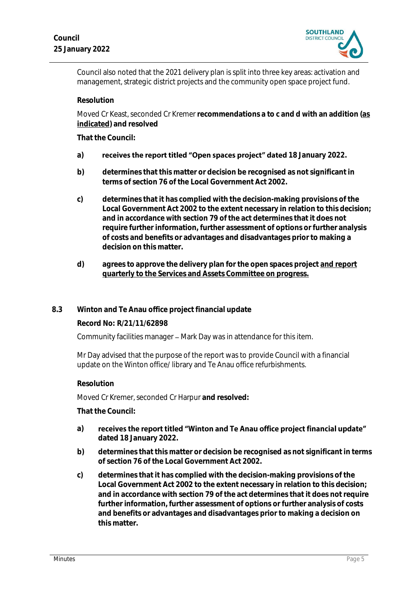

Council also noted that the 2021 delivery plan is split into three key areas: activation and management, strategic district projects and the community open space project fund.

**Resolution**

Moved Cr Keast, seconded Cr Kremer **recommendations a to c and d with an addition (as indicated) and resolved**

**That the Council:**

- a) **receives the report titled "Open spaces project" dated 18 January 2022.**
- **b) determines that this matter or decision be recognised as not significant in terms of section 76 of the Local Government Act 2002.**
- **c) determines that it has complied with the decision-making provisions of the Local Government Act 2002 to the extent necessary in relation to this decision; and in accordance with section 79 of the act determines that it does not require further information, further assessment of options or further analysis of costs and benefits or advantages and disadvantages prior to making a decision on this matter.**
- **d) agrees to approve the delivery plan for the open spaces project and report quarterly to the Services and Assets Committee on progress.**

#### **8.3 Winton and Te Anau office project financial update**

**Record No: R/21/11/62898**

Community facilities manager – Mark Day was in attendance for this item.

Mr Day advised that the purpose of the report was to provide Council with a financial update on the Winton office/ library and Te Anau office refurbishments.

#### **Resolution**

Moved Cr Kremer, seconded Cr Harpur **and resolved:**

**That the Council:**

- **a)** receives the report titled "Winton and Te Anau office project financial update" **dated 18 January 2022.**
- **b) determines that this matter or decision be recognised as not significant in terms of section 76 of the Local Government Act 2002.**
- **c) determines that it has complied with the decision-making provisions of the Local Government Act 2002 to the extent necessary in relation to this decision; and in accordance with section 79 of the act determines that it does not require further information, further assessment of options or further analysis of costs and benefits or advantages and disadvantages prior to making a decision on this matter.**